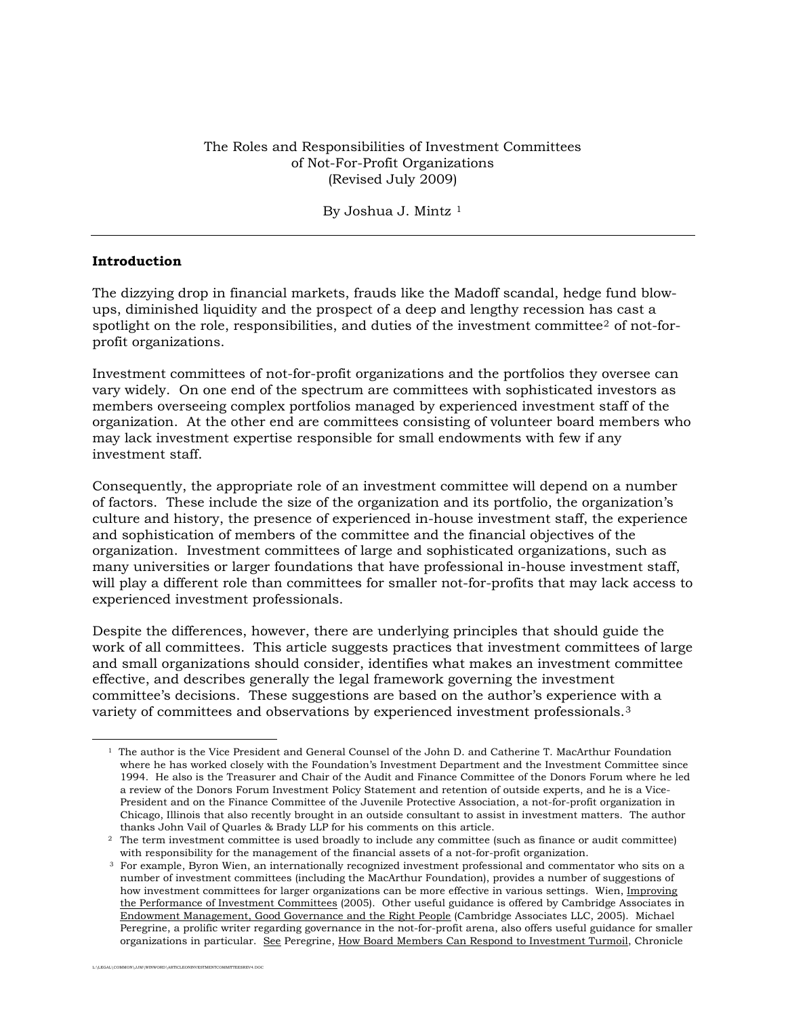The Roles and Responsibilities of Investment Committees of Not-For-Profit Organizations (Revised July 2009)

#### By Joshua J. Mintz<sup>[1](#page-0-0)</sup>

#### **Introduction**

The dizzying drop in financial markets, frauds like the Madoff scandal, hedge fund blowups, diminished liquidity and the prospect of a deep and lengthy recession has cast a spotlight on the role, responsibilities, and duties of the investment committee<sup>[2](#page-0-1)</sup> of not-forprofit organizations.

Investment committees of not-for-profit organizations and the portfolios they oversee can vary widely. On one end of the spectrum are committees with sophisticated investors as members overseeing complex portfolios managed by experienced investment staff of the organization. At the other end are committees consisting of volunteer board members who may lack investment expertise responsible for small endowments with few if any investment staff.

Consequently, the appropriate role of an investment committee will depend on a number of factors. These include the size of the organization and its portfolio, the organization's culture and history, the presence of experienced in-house investment staff, the experience and sophistication of members of the committee and the financial objectives of the organization. Investment committees of large and sophisticated organizations, such as many universities or larger foundations that have professional in-house investment staff, will play a different role than committees for smaller not-for-profits that may lack access to experienced investment professionals.

Despite the differences, however, there are underlying principles that should guide the work of all committees. This article suggests practices that investment committees of large and small organizations should consider, identifies what makes an investment committee effective, and describes generally the legal framework governing the investment committee's decisions. These suggestions are based on the author's experience with a variety of committees and observations by experienced investment professionals.[3](#page-0-2)

<span id="page-0-0"></span> $\overline{\phantom{a}}$ 

<sup>1</sup> The author is the Vice President and General Counsel of the John D. and Catherine T. MacArthur Foundation where he has worked closely with the Foundation's Investment Department and the Investment Committee since 1994. He also is the Treasurer and Chair of the Audit and Finance Committee of the Donors Forum where he led a review of the Donors Forum Investment Policy Statement and retention of outside experts, and he is a Vice-President and on the Finance Committee of the Juvenile Protective Association, a not-for-profit organization in Chicago, Illinois that also recently brought in an outside consultant to assist in investment matters. The author thanks John Vail of Quarles & Brady LLP for his comments on this article. 2 The term investment committee is used broadly to include any committee (such as finance or audit committee)

<span id="page-0-1"></span>with responsibility for the management of the financial assets of a not-for-profit organization.<br><sup>3</sup> For example, Byron Wien, an internationally recognized investment professional and commentator who sits on a

<span id="page-0-2"></span>number of investment committees (including the MacArthur Foundation), provides a number of suggestions of how investment committees for larger organizations can be more effective in various settings. Wien, Improving the Performance of Investment Committees (2005). Other useful guidance is offered by Cambridge Associates in Endowment Management, Good Governance and the Right People (Cambridge Associates LLC, 2005). Michael Peregrine, a prolific writer regarding governance in the not-for-profit arena, also offers useful guidance for smaller organizations in particular. See Peregrine, How Board Members Can Respond to Investment Turmoil, Chronicle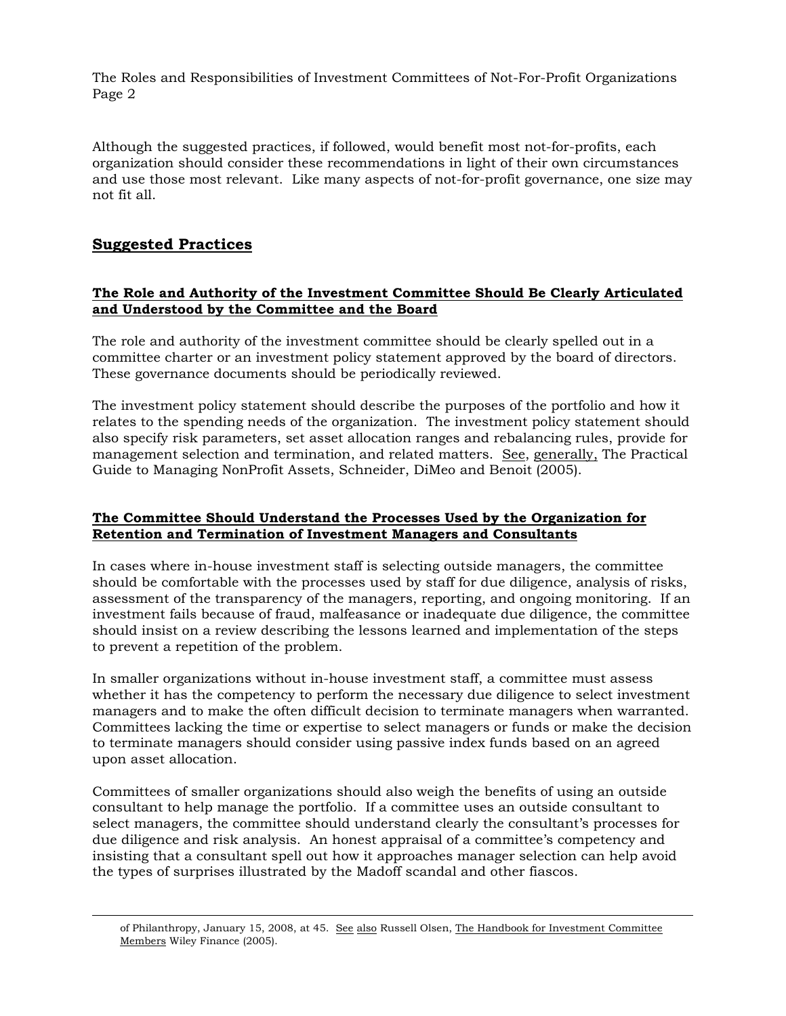Although the suggested practices, if followed, would benefit most not-for-profits, each organization should consider these recommendations in light of their own circumstances and use those most relevant. Like many aspects of not-for-profit governance, one size may not fit all.

# **Suggested Practices**

l

# **The Role and Authority of the Investment Committee Should Be Clearly Articulated and Understood by the Committee and the Board**

The role and authority of the investment committee should be clearly spelled out in a committee charter or an investment policy statement approved by the board of directors. These governance documents should be periodically reviewed.

The investment policy statement should describe the purposes of the portfolio and how it relates to the spending needs of the organization. The investment policy statement should also specify risk parameters, set asset allocation ranges and rebalancing rules, provide for management selection and termination, and related matters. See, generally, The Practical Guide to Managing NonProfit Assets, Schneider, DiMeo and Benoit (2005).

# **The Committee Should Understand the Processes Used by the Organization for Retention and Termination of Investment Managers and Consultants**

In cases where in-house investment staff is selecting outside managers, the committee should be comfortable with the processes used by staff for due diligence, analysis of risks, assessment of the transparency of the managers, reporting, and ongoing monitoring. If an investment fails because of fraud, malfeasance or inadequate due diligence, the committee should insist on a review describing the lessons learned and implementation of the steps to prevent a repetition of the problem.

In smaller organizations without in-house investment staff, a committee must assess whether it has the competency to perform the necessary due diligence to select investment managers and to make the often difficult decision to terminate managers when warranted. Committees lacking the time or expertise to select managers or funds or make the decision to terminate managers should consider using passive index funds based on an agreed upon asset allocation.

Committees of smaller organizations should also weigh the benefits of using an outside consultant to help manage the portfolio. If a committee uses an outside consultant to select managers, the committee should understand clearly the consultant's processes for due diligence and risk analysis. An honest appraisal of a committee's competency and insisting that a consultant spell out how it approaches manager selection can help avoid the types of surprises illustrated by the Madoff scandal and other fiascos.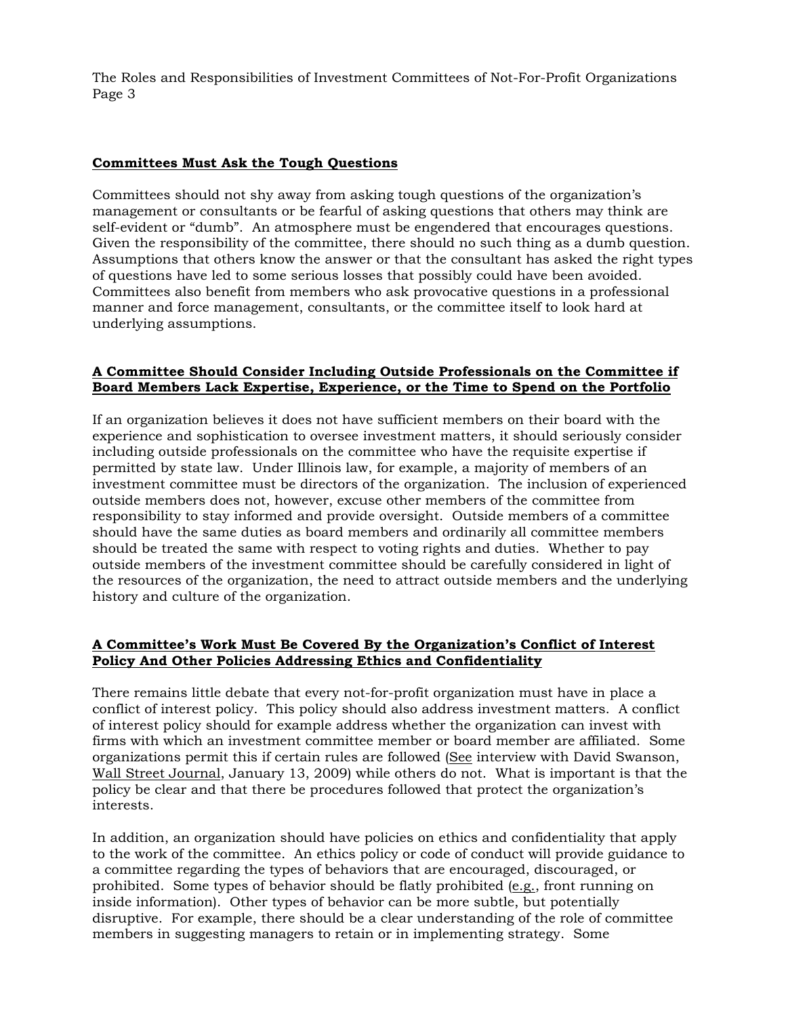## **Committees Must Ask the Tough Questions**

Committees should not shy away from asking tough questions of the organization's management or consultants or be fearful of asking questions that others may think are self-evident or "dumb". An atmosphere must be engendered that encourages questions. Given the responsibility of the committee, there should no such thing as a dumb question. Assumptions that others know the answer or that the consultant has asked the right types of questions have led to some serious losses that possibly could have been avoided. Committees also benefit from members who ask provocative questions in a professional manner and force management, consultants, or the committee itself to look hard at underlying assumptions.

# **A Committee Should Consider Including Outside Professionals on the Committee if Board Members Lack Expertise, Experience, or the Time to Spend on the Portfolio**

If an organization believes it does not have sufficient members on their board with the experience and sophistication to oversee investment matters, it should seriously consider including outside professionals on the committee who have the requisite expertise if permitted by state law. Under Illinois law, for example, a majority of members of an investment committee must be directors of the organization. The inclusion of experienced outside members does not, however, excuse other members of the committee from responsibility to stay informed and provide oversight. Outside members of a committee should have the same duties as board members and ordinarily all committee members should be treated the same with respect to voting rights and duties. Whether to pay outside members of the investment committee should be carefully considered in light of the resources of the organization, the need to attract outside members and the underlying history and culture of the organization.

# **A Committee's Work Must Be Covered By the Organization's Conflict of Interest Policy And Other Policies Addressing Ethics and Confidentiality**

There remains little debate that every not-for-profit organization must have in place a conflict of interest policy. This policy should also address investment matters. A conflict of interest policy should for example address whether the organization can invest with firms with which an investment committee member or board member are affiliated. Some organizations permit this if certain rules are followed (See interview with David Swanson, Wall Street Journal, January 13, 2009) while others do not. What is important is that the policy be clear and that there be procedures followed that protect the organization's interests.

In addition, an organization should have policies on ethics and confidentiality that apply to the work of the committee. An ethics policy or code of conduct will provide guidance to a committee regarding the types of behaviors that are encouraged, discouraged, or prohibited. Some types of behavior should be flatly prohibited (e.g., front running on inside information). Other types of behavior can be more subtle, but potentially disruptive. For example, there should be a clear understanding of the role of committee members in suggesting managers to retain or in implementing strategy. Some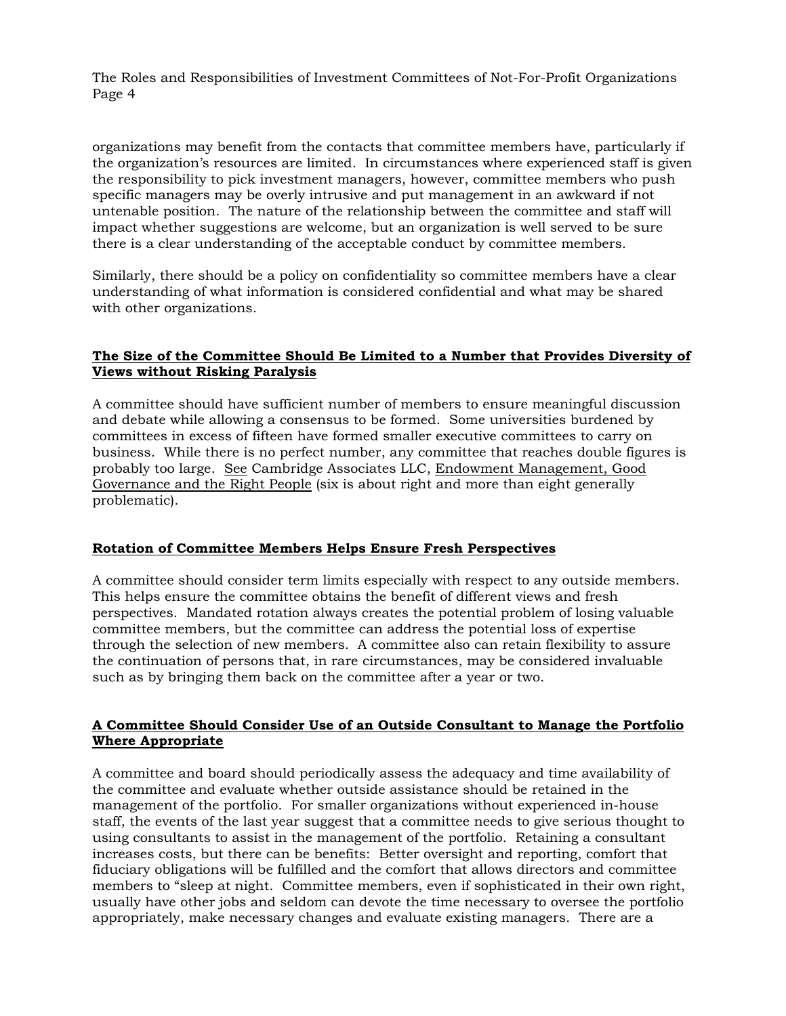organizations may benefit from the contacts that committee members have, particularly if the organization's resources are limited. In circumstances where experienced staff is given the responsibility to pick investment managers, however, committee members who push specific managers may be overly intrusive and put management in an awkward if not untenable position. The nature of the relationship between the committee and staff will impact whether suggestions are welcome, but an organization is well served to be sure there is a clear understanding of the acceptable conduct by committee members.

Similarly, there should be a policy on confidentiality so committee members have a clear understanding of what information is considered confidential and what may be shared with other organizations.

# **The Size of the Committee Should Be Limited to a Number that Provides Diversity of Views without Risking Paralysis**

A committee should have sufficient number of members to ensure meaningful discussion and debate while allowing a consensus to be formed. Some universities burdened by committees in excess of fifteen have formed smaller executive committees to carry on business. While there is no perfect number, any committee that reaches double figures is probably too large. See Cambridge Associates LLC, Endowment Management, Good Governance and the Right People (six is about right and more than eight generally problematic).

## **Rotation of Committee Members Helps Ensure Fresh Perspectives**

A committee should consider term limits especially with respect to any outside members. This helps ensure the committee obtains the benefit of different views and fresh perspectives. Mandated rotation always creates the potential problem of losing valuable committee members, but the committee can address the potential loss of expertise through the selection of new members. A committee also can retain flexibility to assure the continuation of persons that, in rare circumstances, may be considered invaluable such as by bringing them back on the committee after a year or two.

# **A Committee Should Consider Use of an Outside Consultant to Manage the Portfolio Where Appropriate**

A committee and board should periodically assess the adequacy and time availability of the committee and evaluate whether outside assistance should be retained in the management of the portfolio. For smaller organizations without experienced in-house staff, the events of the last year suggest that a committee needs to give serious thought to using consultants to assist in the management of the portfolio. Retaining a consultant increases costs, but there can be benefits: Better oversight and reporting, comfort that fiduciary obligations will be fulfilled and the comfort that allows directors and committee members to "sleep at night. Committee members, even if sophisticated in their own right, usually have other jobs and seldom can devote the time necessary to oversee the portfolio appropriately, make necessary changes and evaluate existing managers. There are a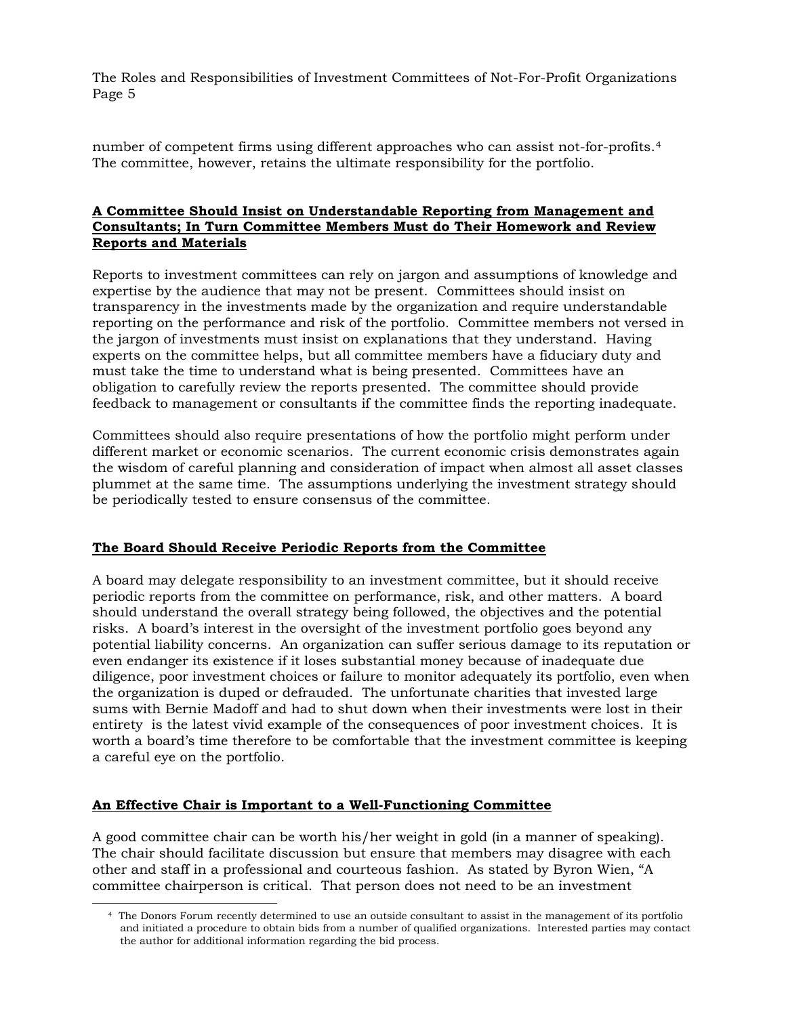number of competent firms using different approaches who can assist not-for-profits.[4](#page-4-0) The committee, however, retains the ultimate responsibility for the portfolio.

# **A Committee Should Insist on Understandable Reporting from Management and Consultants; In Turn Committee Members Must do Their Homework and Review Reports and Materials**

Reports to investment committees can rely on jargon and assumptions of knowledge and expertise by the audience that may not be present. Committees should insist on transparency in the investments made by the organization and require understandable reporting on the performance and risk of the portfolio. Committee members not versed in the jargon of investments must insist on explanations that they understand. Having experts on the committee helps, but all committee members have a fiduciary duty and must take the time to understand what is being presented. Committees have an obligation to carefully review the reports presented. The committee should provide feedback to management or consultants if the committee finds the reporting inadequate.

Committees should also require presentations of how the portfolio might perform under different market or economic scenarios. The current economic crisis demonstrates again the wisdom of careful planning and consideration of impact when almost all asset classes plummet at the same time. The assumptions underlying the investment strategy should be periodically tested to ensure consensus of the committee.

## **The Board Should Receive Periodic Reports from the Committee**

A board may delegate responsibility to an investment committee, but it should receive periodic reports from the committee on performance, risk, and other matters. A board should understand the overall strategy being followed, the objectives and the potential risks. A board's interest in the oversight of the investment portfolio goes beyond any potential liability concerns. An organization can suffer serious damage to its reputation or even endanger its existence if it loses substantial money because of inadequate due diligence, poor investment choices or failure to monitor adequately its portfolio, even when the organization is duped or defrauded. The unfortunate charities that invested large sums with Bernie Madoff and had to shut down when their investments were lost in their entirety is the latest vivid example of the consequences of poor investment choices. It is worth a board's time therefore to be comfortable that the investment committee is keeping a careful eye on the portfolio.

## **An Effective Chair is Important to a Well-Functioning Committee**

<span id="page-4-0"></span> $\overline{\phantom{a}}$ 

A good committee chair can be worth his/her weight in gold (in a manner of speaking). The chair should facilitate discussion but ensure that members may disagree with each other and staff in a professional and courteous fashion. As stated by Byron Wien, "A committee chairperson is critical. That person does not need to be an investment

<sup>4</sup> The Donors Forum recently determined to use an outside consultant to assist in the management of its portfolio and initiated a procedure to obtain bids from a number of qualified organizations. Interested parties may contact the author for additional information regarding the bid process.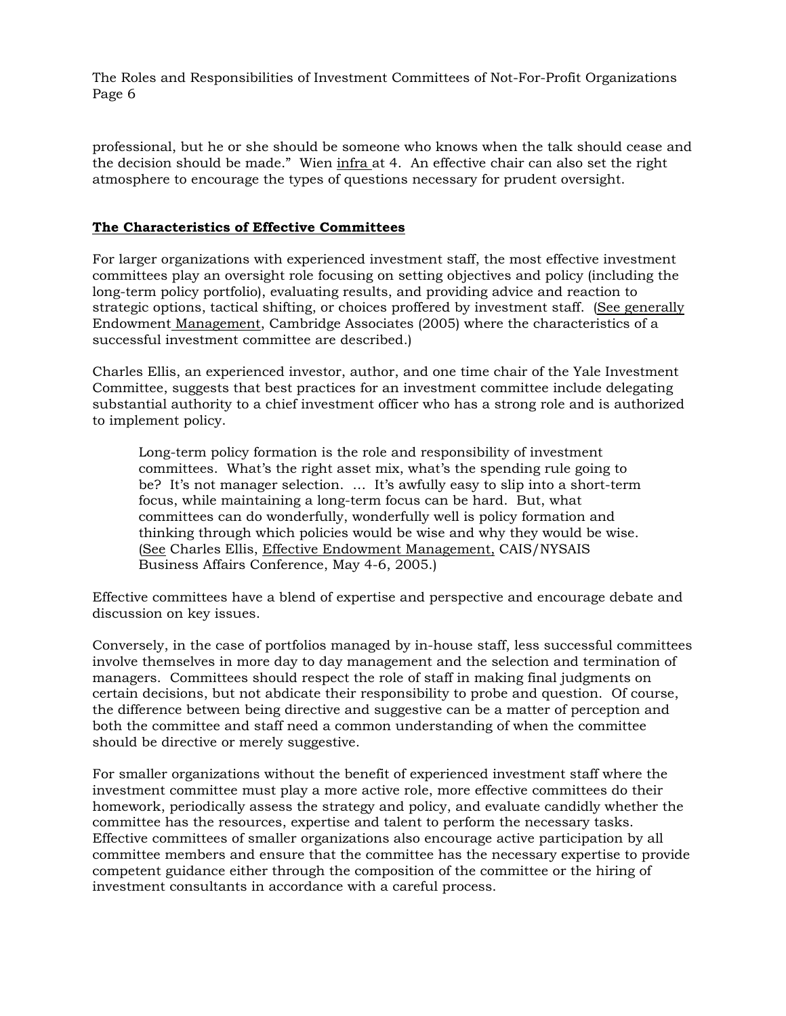professional, but he or she should be someone who knows when the talk should cease and the decision should be made." Wien infra at 4. An effective chair can also set the right atmosphere to encourage the types of questions necessary for prudent oversight.

#### **The Characteristics of Effective Committees**

For larger organizations with experienced investment staff, the most effective investment committees play an oversight role focusing on setting objectives and policy (including the long-term policy portfolio), evaluating results, and providing advice and reaction to strategic options, tactical shifting, or choices proffered by investment staff. (See generally Endowment Management, Cambridge Associates (2005) where the characteristics of a successful investment committee are described.)

Charles Ellis, an experienced investor, author, and one time chair of the Yale Investment Committee, suggests that best practices for an investment committee include delegating substantial authority to a chief investment officer who has a strong role and is authorized to implement policy.

Long-term policy formation is the role and responsibility of investment committees. What's the right asset mix, what's the spending rule going to be? It's not manager selection. … It's awfully easy to slip into a short-term focus, while maintaining a long-term focus can be hard. But, what committees can do wonderfully, wonderfully well is policy formation and thinking through which policies would be wise and why they would be wise. (See Charles Ellis, Effective Endowment Management, CAIS/NYSAIS Business Affairs Conference, May 4-6, 2005.)

Effective committees have a blend of expertise and perspective and encourage debate and discussion on key issues.

Conversely, in the case of portfolios managed by in-house staff, less successful committees involve themselves in more day to day management and the selection and termination of managers. Committees should respect the role of staff in making final judgments on certain decisions, but not abdicate their responsibility to probe and question. Of course, the difference between being directive and suggestive can be a matter of perception and both the committee and staff need a common understanding of when the committee should be directive or merely suggestive.

For smaller organizations without the benefit of experienced investment staff where the investment committee must play a more active role, more effective committees do their homework, periodically assess the strategy and policy, and evaluate candidly whether the committee has the resources, expertise and talent to perform the necessary tasks. Effective committees of smaller organizations also encourage active participation by all committee members and ensure that the committee has the necessary expertise to provide competent guidance either through the composition of the committee or the hiring of investment consultants in accordance with a careful process.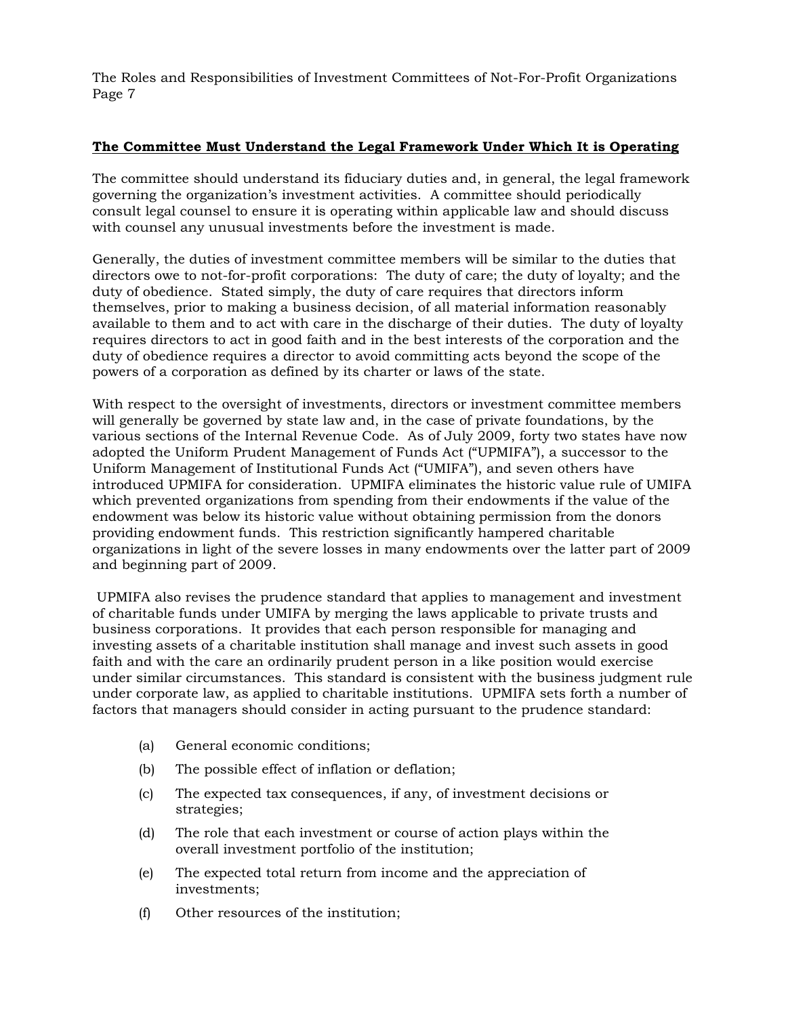## **The Committee Must Understand the Legal Framework Under Which It is Operating**

The committee should understand its fiduciary duties and, in general, the legal framework governing the organization's investment activities. A committee should periodically consult legal counsel to ensure it is operating within applicable law and should discuss with counsel any unusual investments before the investment is made.

Generally, the duties of investment committee members will be similar to the duties that directors owe to not-for-profit corporations: The duty of care; the duty of loyalty; and the duty of obedience. Stated simply, the duty of care requires that directors inform themselves, prior to making a business decision, of all material information reasonably available to them and to act with care in the discharge of their duties. The duty of loyalty requires directors to act in good faith and in the best interests of the corporation and the duty of obedience requires a director to avoid committing acts beyond the scope of the powers of a corporation as defined by its charter or laws of the state.

With respect to the oversight of investments, directors or investment committee members will generally be governed by state law and, in the case of private foundations, by the various sections of the Internal Revenue Code. As of July 2009, forty two states have now adopted the Uniform Prudent Management of Funds Act ("UPMIFA"), a successor to the Uniform Management of Institutional Funds Act ("UMIFA"), and seven others have introduced UPMIFA for consideration. UPMIFA eliminates the historic value rule of UMIFA which prevented organizations from spending from their endowments if the value of the endowment was below its historic value without obtaining permission from the donors providing endowment funds. This restriction significantly hampered charitable organizations in light of the severe losses in many endowments over the latter part of 2009 and beginning part of 2009.

 UPMIFA also revises the prudence standard that applies to management and investment of charitable funds under UMIFA by merging the laws applicable to private trusts and business corporations. It provides that each person responsible for managing and investing assets of a charitable institution shall manage and invest such assets in good faith and with the care an ordinarily prudent person in a like position would exercise under similar circumstances. This standard is consistent with the business judgment rule under corporate law, as applied to charitable institutions. UPMIFA sets forth a number of factors that managers should consider in acting pursuant to the prudence standard:

- (a) General economic conditions;
- (b) The possible effect of inflation or deflation;
- (c) The expected tax consequences, if any, of investment decisions or strategies;
- (d) The role that each investment or course of action plays within the overall investment portfolio of the institution;
- (e) The expected total return from income and the appreciation of investments;
- (f) Other resources of the institution;